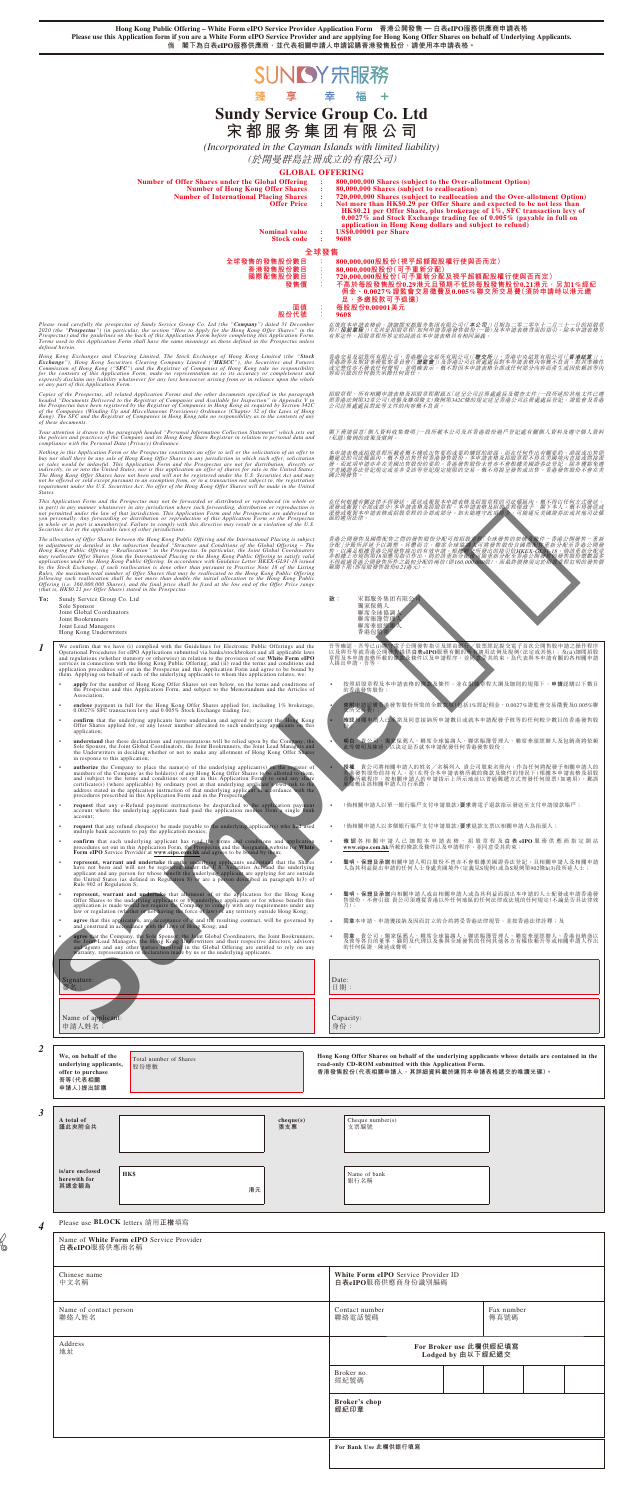- **授權** 賞公司將制關甲請人的姓名/名稱列人、賞公司股東名冊內,作為仕何將配發予相關申請人的<br>香港所載程份的持有人,並(在符合本申請表格所載的條款及條件的情況下)根據本申請表格及招股<br>章程所載程序,按相關申請人的申請指示上所示地址以普通郵遞方式寄發任何股票(如適用),郵誤<br>風險概由該相關申請人自行承擔;
- (倘相關申請人以單一銀行賬戶支付申請股款)**要求**將電子退款指示發送至支付申請股款賬戶;
- 
- **確 認** 各相關申請人已細閱本申請表格、招股章程及 **白 表 eIPO** 服務供應商指定網站 **www.eipo.com.hk**所載的條款及條件以及申請程序,並同意受其約束;
- 聲明、保證及承諾相關甲請人明曰股份不曾亦不曾根據美國證券法登記,且相關甲請人及相關甲請<br>——人為其利益提出申請的任何人士身處美國境外(定義見S規例)或為S規例第902條h(3)段所述人士;
- 聲明、保證及承諾向相關甲請人或由相關申請人或為其利益而提出本申請的人士配發或申請香港發<br>售股份,不會引致 貴公司須遵從香港以外任何地區的任何法律或法規的任何規定(不論是否具法律效<br>力);

| Association;<br>enclose payment in full for the Hong Kong Offer Shares applied for, including 1% brokerage,<br>$\bullet$                                                                                                                                                                                                                                                                                                                                                                                                                                                           |                                                                                                                                                                                                      |  |  |  |
|------------------------------------------------------------------------------------------------------------------------------------------------------------------------------------------------------------------------------------------------------------------------------------------------------------------------------------------------------------------------------------------------------------------------------------------------------------------------------------------------------------------------------------------------------------------------------------|------------------------------------------------------------------------------------------------------------------------------------------------------------------------------------------------------|--|--|--|
| 0.0027% SFC transaction levy and 0.005% Stock Exchange trading fee;<br>confirm that the underlying applicants have undertaken and agreed to accept the Hong Kong<br>Offer Shares applied for, or any lesser number allocated to such underlying applicants on this                                                                                                                                                                                                                                                                                                                 | 夾附申請認購香港發售股份所需的全數款項(包括1%經紀佣金、0.0027%證監會交易徵費及0.005%聯<br>交所交易費)<br>確認相關申請人已不諾及同意接納所申請數目或就本申請配發予彼等的任何較少數目的香港發售股                                                                                         |  |  |  |
| application;<br>understand that these declarations and representations will be relied upon by the Company, the Sole Sponsor, the Joint Global Coordinators, the Joint Bookrunners, the Joint Lead Managers and<br>the Underwriters in deciding whether or not to make any allotment of Hong Kong Offer Shares<br>in response to this application;                                                                                                                                                                                                                                  | 明白 貴公司 獨家保薦人、聯席全球協調人、聯席賬簿管理人、聯席牽頭經辦人及包銷商將依賴<br>此等聲明及陳述 人以決定是否就本申請配發任何香港發售股份;                                                                                                                         |  |  |  |
| <b>authorize</b> the Company to place the name(s) of the underlying applicant(s) on the register of<br>members of the Company as the holder(s) of any Hong Kong Offer Shares to be allotted to them, and (subject to the terms and conditions set out in this Application Form) to send any share<br>certificate(s) (where applicable) by ordinary post at that underlying applicant)'s own risk to the<br>address stated in the application instruction of that underlying applicant in accordance with the procedures prescribed in this Application Form and in the Prospectus: | <b>授權</b> 貴公司將相關申請人的姓名/名稱列入 貴公司股東名冊內,作為任何將配發予相關申請人的<br>管提發售股份的持有人,並(在符合本申請表格所載的條款及條件的情況下)根據本申請表格及招股<br>章経所載程序,按相關申請人的申請指示上所示地址以普通郵遞方式寄發任何股票(如適用),郵誤<br>風險概由該相關申請人自行承擔;                               |  |  |  |
| request that any e-Refund payment instructions be despatched to the application payment account where the underlying applicants had paid the application monies from a single bank<br>account:                                                                                                                                                                                                                                                                                                                                                                                     | (倘相關申請人以單一銀行賬戶支付申請股款) <b>要求</b> 將電子退款指示發送至支付申請股款賬戶;                                                                                                                                                  |  |  |  |
| request that any refund cheque(s) be made payable to the underlying applicant(s) who had used<br>$\bullet$<br>multiple bank accounts to pay the application monies;                                                                                                                                                                                                                                                                                                                                                                                                                | (倘相關申請人以多個銀行賬戶支付申請股款)要求退款支票以相關申請人為抬頭人;                                                                                                                                                               |  |  |  |
| confirm that each underlying applicant has read the terms and conditions and application<br>procedures set out in this Application Form, the Prospectus and the designated website for White<br>Form eIPO Service Provider at www.eipo.com.hk and agrees to be bound by them;                                                                                                                                                                                                                                                                                                      | 確 認 各 相 關 申 請 人 已 細 閲 本 申 請 表 格 、 招 股 章 程 及 白 <b>表 eIPO</b> 服 務 供 應 商 指 定 網 站<br>www.eipo.com.hk所載的條款及條件以及申請程序,並同意受其約束;                                                                              |  |  |  |
| represent, warrant and undertake that the underlying applicants understand that the Shares<br>have not been and will not be registered under the U.S. Securities Act and the underlying<br>applicant and any person for whose benefi<br>$\bullet$<br>Rule 902 of Regulation S;                                                                                                                                                                                                                                                                                                     | $\bullet$<br>聲明、保證及承諾相關申請人明白股份不曾亦不會根據美國證券法登記,且相關申請人及相關申請<br>人為其利益提出申請的任何人士身處美國境外(定義見S規例)或為S規例第902條h(3)段所述人士;                                                                                         |  |  |  |
| represent, warrant and undertake that allotment of or the application for the Hong Kong<br>Offer Shares to the underlying applicants or by underlying applicants or for whose benefit this<br>$\bullet$<br>application is made would not require the Company to comply with any requirements under any law or regulation (whether or not having the force of law) of any territory outside Hong Kong;                                                                                                                                                                              | 聲明、保證及承諾向相關申請人或由相關申請人或為其利益而提出本申請的人士配發或申請香港發<br>售股份,不會引致 貴公司須遵從香港以外任何地區的任何法律或法規的任何規定(不論是否具法律效<br>力);                                                                                                  |  |  |  |
| agree that this application, any acceptance of it and the resulting contract, will be governed by and construed in accordance with the laws of Hong Kong; and                                                                                                                                                                                                                                                                                                                                                                                                                      | 同意本申請、申請獲接納及因而訂立的合約將受香港法律規管,並按香港法律詮釋;及                                                                                                                                                               |  |  |  |
| agree that the Company, the Sole Sponsor, the Joint Global Coordinators, the Joint Bookrunners, the Joint Global Coordinators, the Hong Kong Underwritters and their respective directors, advisors and agents and any other p                                                                                                                                                                                                                                                                                                                                                     | 同意 貴公司、獨家保薦人、聯席全球協調人、聯席賬簿管理人、聯席牽頭經辦人、香港包銷商以<br>: 及彼等各自的董事、顧問及代理以及参與全球發售的往何其他各方有權依賴吾等或相關申請人作出<br>的任何保證、陳述或聲明。                                                                                         |  |  |  |
| Signature:<br>簽名:                                                                                                                                                                                                                                                                                                                                                                                                                                                                                                                                                                  | Date:<br>日期:                                                                                                                                                                                         |  |  |  |
|                                                                                                                                                                                                                                                                                                                                                                                                                                                                                                                                                                                    |                                                                                                                                                                                                      |  |  |  |
| Name of applicant:<br>申請人姓名:                                                                                                                                                                                                                                                                                                                                                                                                                                                                                                                                                       | Capacity:<br>身份:                                                                                                                                                                                     |  |  |  |
| We, on behalf of the<br>Total number of Shares<br>underlying applicants,<br>股份總數<br>offer to purchase<br>吾等(代表相關<br>申請人)提出認購                                                                                                                                                                                                                                                                                                                                                                                                                                                       | Hong Kong Offer Shares on behalf of the underlying applicants whose details are contained in the<br>read-only CD-ROM submitted with this Application Form.<br>香港發售股份(代表相關申請人,其詳細資料載於連同本申請表格遞交的唯讀光碟)。 |  |  |  |
| A total of<br>cheque(s)<br>謹此夾附合共<br>張支票                                                                                                                                                                                                                                                                                                                                                                                                                                                                                                                                           | Cheque number(s)<br>支票编號                                                                                                                                                                             |  |  |  |
| is/are enclosed<br>HK\$<br>herewith for<br>其總金額為<br>港元                                                                                                                                                                                                                                                                                                                                                                                                                                                                                                                             | Name of bank<br>銀行名稱                                                                                                                                                                                 |  |  |  |
|                                                                                                                                                                                                                                                                                                                                                                                                                                                                                                                                                                                    |                                                                                                                                                                                                      |  |  |  |
| Please use <b>BLOCK</b> letters 請用正楷填寫<br>4                                                                                                                                                                                                                                                                                                                                                                                                                                                                                                                                        |                                                                                                                                                                                                      |  |  |  |
| Name of White Form eIPO Service Provider<br>白表eIPO服務供應商名稱                                                                                                                                                                                                                                                                                                                                                                                                                                                                                                                          |                                                                                                                                                                                                      |  |  |  |
| Chinese name<br>中文名稱                                                                                                                                                                                                                                                                                                                                                                                                                                                                                                                                                               | White Form eIPO Service Provider ID<br>白表eIPO服務供應商身份識別編碼                                                                                                                                             |  |  |  |
| Name of contact person<br>聯絡人姓名                                                                                                                                                                                                                                                                                                                                                                                                                                                                                                                                                    | Contact number<br>Fax number<br>聯絡電話號碼<br>傳真號碼                                                                                                                                                       |  |  |  |
| Address<br>地址                                                                                                                                                                                                                                                                                                                                                                                                                                                                                                                                                                      | For Broker use 此欄供經紀填寫<br>Lodged by 由以下經紀遞交                                                                                                                                                          |  |  |  |
|                                                                                                                                                                                                                                                                                                                                                                                                                                                                                                                                                                                    | Broker no.<br>經紀號碼                                                                                                                                                                                   |  |  |  |
|                                                                                                                                                                                                                                                                                                                                                                                                                                                                                                                                                                                    | Broker's chop<br>經紀印章                                                                                                                                                                                |  |  |  |
|                                                                                                                                                                                                                                                                                                                                                                                                                                                                                                                                                                                    |                                                                                                                                                                                                      |  |  |  |
|                                                                                                                                                                                                                                                                                                                                                                                                                                                                                                                                                                                    | For Bank Use 此欄供銀行填寫                                                                                                                                                                                 |  |  |  |

- 全球發售<br>全球發售的發售股份數目 : 1<br>香港發售股份數目 : 1<br>8 : 香港發售股份數目 **全球發售的發售股份數目 : 800,000,000股股份(視乎超額配股權行使與否而定) 香港發售股份數目 : 80,000,000股股份(可予重新分配) 國際配售股份數目 : 720,000,000股股份(可予重新分配及視乎超額配股權行使與否而定) 發售價 : 不高於每股發售股份0.29港元且預期不低於每股發售股份0.21港元,另加1%經紀 佣金、0.0027%證監會交易徵費及0.005%聯交所交易費(須於申請時以港元繳 足,多繳股款可予退還)**
	- 面值 : 每股股份0.00001美元<br>股份代號 : 9608 **股份代號 : 9608**

Please read carefully the prospectus of Sundy Service Group Co. Ltd (the "Company") dated 31 December<br>2020 (the "Prospectus") (in particular, the section "How to Apply for the Hong Kong Offer Shares" in the<br>Prospectus) and

Hong Kong Exchanges and Clearing Limited, The Stock Exchange of Hong Kong Limited (the "Stock<br>Exchange"), Hong Kong Securities Clearing Company Limited ("HKSCC"), the Securities and Futures<br>Commission of Hong Kong ("SFC")

Copies of the Prospectus, all related Application Forms and the other documents specified in the paragraph<br>headed "Documents Delivered to the Registrar of Companies and Available for Inspection" in Appendix<br>the Prospectus

Your attention is drawn to the paragraph headed "Personal Information Collection Statement" which sets out<br>the policies and practices of the Company and its Hong Kong Share Registrar in relation to personal data and<br>compli

Nothing in this Application Form or the Prospectus constitutes an offer to sell or the solicitation of an offer to<br>buy nor shall there be any sale of Hong Kong Offer Shares in any jurisdiction in which such offer, solicita *States.*

This Application Form and the Prospectus may not be forwarded or distributed or reproduced (in whole or<br>in part) in any manner whatsoever in any jurisdiction where such forwarding, distribution or reproduction is<br>not permi

The allocation of Offer Shares between the Hong Kong Public Offering and the International Placing is subject to digitarize to digitarize the digitarity of the Global Offering - The Hong Kong Public Offering - Reallocation

**Hong Kong Public Offering – White Form eIPO Service Provider Application Form 香港公開發售 — 白表eIPO服務供應商申請表格 Please use this Application form if you are a White Form eIPO Service Provider and are applying for Hong Kong Offer Shares on behalf of Underlying Applicants. 倘 閣下為白表eIPO服務供應商,並代表相關申請人申請認購香港發售股份,請使用本申請表格。**



**Sundy Service Group Co. Ltd 宋都服務集團有限公司**

*(Incorporated in the Cayman Islands with limited liability)*

(於開曼群島註冊成立的有限公司)

## **GLOBAL OFFERING**

香港公開發售及國際配售之間的發售股份分配可按招股章程「全球發售的架構及條件-香港公開發售-重新 分配」分節所注述予以調整。具體而言,導解全球協調人可將發售股份自國際配售重新分配至香港公開發<br>售, 以滿足根據香港公開發售提出的有效申請。根據聯交所發出的指引信**国KEX-GL91-18**, 倘該重新分配<br>非根據香港公開發售股份O.21港元)。<br>範圍下限(即每股發售股份O.21港元)。<br>範圍下限(即每股發售股份O.21港元)。

致: 宋都服务集团有限公司<br>獨家保薦人

| Number of Offer Shares under the Global Offering | 800,000,000 Shares (subject to the Over-allotment Option)                      |
|--------------------------------------------------|--------------------------------------------------------------------------------|
| <b>Number of Hong Kong Offer Shares</b>          | 80,000,000 Shares (subject to reallocation)                                    |
| <b>Number of International Placing Shares</b>    | 720,000,000 Shares (subject to reallocation and the Over-allotment Option)     |
| <b>Offer Price</b>                               | Not more than HK\$0.29 per Offer Share and expected to be not less than        |
|                                                  | <b>HK\$0.21 per Offer Share, plus brokerage of 1%, SFC transaction levy of</b> |
|                                                  | $0.0027\%$ and Stock Exchange trading fee of $0.005\%$ (payable in full on     |
|                                                  | application in Hong Kong dollars and subject to refund)                        |
|                                                  |                                                                                |

**Nominal value : US\$0.00001 per Share**<br>**Stock code : 9608 Stock code** 

獨冢保薦人<br>聯席全球協調人<br>聯席賬簿管理人<br>聯席牽頭經辦人 香港包銷商

吾等帷認,吾寺巳(i)��守電十公開發售指引及經田銀行/股票經紀提父電于自次公開售股申請乙探作程序<br>以及奥吾等就香港公開發售提供**白表eIPO**服務有關的所有適用法例及規例(法定或其他);及(ii)細閲招限<br>章程及本申請表格所載的條款及條件以及申請程序,並同意受其約束。為代表與本申請有關的各相關申請<br>人提出申請,吾等:

• 按照招股章程及本甲請表格的條款及條件,亚在組織章程大鋼及細則的規限卜,**申請**認購以卜數目<br>的香港發售股份;

閣下務請留意「個人資料收集聲明」一段所載本公司及其香港股份過戶登記處有關個人資料及遵守個人資料 (私隱)條例的政策及慣例。

本申請表格或招股章程所在積成出售要約或要約購買的游說,而在任何作出有關要約,確定或出售即不得出提供不<br>屬違法的可說推薦內,解不得出售任何香港發售股份。本申請表格及招股查程不得在美國境內直接或間接感<br>發,而此項申請亦非在美國出售股份的要約。香港發售股份太曾亦不會根據美國證券法登記,除非獲豁免遵<br>國公開發售。

在任何根據有關法律不得發送、派送或複製本申請表格及招股章程的司法權區內,概不得以任何方式發送、 派發或複製(全部或部分)本申請表格及招股章程。本申請表格及招股章程僅致予 閣下本人。概不得發送或 派發或複製本申請表格或招股章程的全部或部分。如未能遵守此項指令,可能違反美國證券法或其他司法權 區的適用法律。

**To:** Sundy Service Group Co. Ltd Sole Sponsor Joint Global Coordinators Joint Bookrunners Joint Lead Managers Hong Kong Underwriters

- **1** We confirm that we have (i) complied with the Guidelines for Electronic Public Offerings and the Operational Procedures for eIPO Applications submitted via banks/stockbrokers and all applicable laws and regulations (wh
	- **apply** for the number of Hong Kong Offer Shares set out below, on the terms and conditions of the Prospectus and this Application Form, and subject to the Memorandum and the Articles of Association;
	-
	-
	- **• confirm** that the underlying applicants have undertaken and agreed to accept the Hong Kong Offer Shares applied for, or any lesser number allocated to such underlying applicants on this application;
	- **• understand** that these declarations and representations will be relied upon by the Company, the Sole Sponsor, the Johal Coordinators, the Joint Bookrunners, the Joint Lead Managers and the Underwriters in deciding whe
	- **authorize** the Company to place the name(s) of the underlying applicant(s) on the register of members of the Company as the holder(s) of any Hong Kong Offer Shares to be allotted to them, and (subject to the terms and c
	- **request** that any e-Refund payment instructions be despatched to the application payment account where the underlying applicants had paid the application monies from a single bank account;
	- **request** that any refund cheque(s) be made payable to the underlying applicant(s) who had used (倘相關申請人以多個銀行賬戶支付申請股款)**要求**退款支票以相關申請人為抬頭人;<br>multiple bank accounts to pay the application monies;
	- oonfirm that each underlying applicant has read the terms and conditions and application<br>procedures set out in this Application Form, the Prospectus and the designated website for White<br>Form eIPO Service Provider at www.ei
	- **• represent, warrant and undertake** that the undertiving applicants understand that the Shares have not been and will not be registered under the  $\sqrt{OS}$ . Securities Act and the underlying applicant and any person for
	- **• represent, warrant and undertake** that all otment of or the application for the Hong Kong Offer Shares to the underlying application is made would not require the Company to domply with any requirements under any app

在填寫本申請表格前,請細閱宋都服务集团有限公司(|**本公司**])日期為二零二零年十二月三十一日的招股章<br>程([**招股章程**])(尤其是招股章程[如何申請春港發售股份]一節)及本申請表格背面的指引。除本申請表格另<br>有界定外,招股章程所界定的詞語在本申請表格具有相同涵義。

香港交易及結算所有限公司、香港聯合交易所有限公司(「**聯交所**」)、香港中央結算有限公司(「**香港結算**」)、<br>香港證券及期貨事務監察委員會(「證**監會**」)及香港公司註冊處處長對本申請表格內容概不負責,對其準確性<br>或完整性亦不發表任何聲明,並明確表示,概不對因本申請表格全部或任何部分內容而產生或因依賴該等內

招股章程、所有相關申請表格及招股章程附錄五| 送呈公司註冊處處長及備查文件」一段所述的其他文件已遵<br>照春港法例第32章公司 (清盤及雜項條文) 條例第342C條的規定送呈香港公司註冊處處長登記。證監會及香港<br>公司註冊處處長對此等文件的內容概不負責。

✄